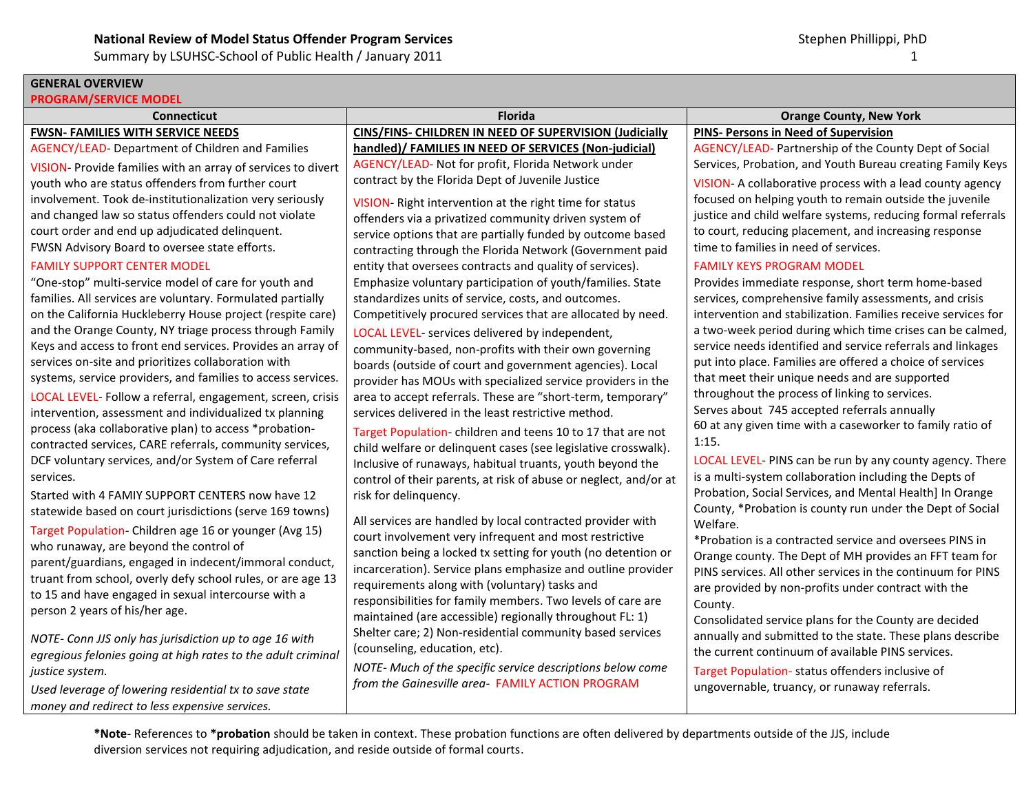## **GENERAL OVERVIEW**

### **PROGRAM/SERVICE MODEL**

# **FWSN- FAMILIES WITH SERVICE NEEDS**

AGENCY/LEAD- Department of Children and Families

VISION- Provide families with an array of services to divert youth who are status offenders from further court involvement. Took de-institutionalization very seriously and changed law so status offenders could not violate court order and end up adjudicated delinquent. FWSN Advisory Board to oversee state efforts.

### FAMILY SUPPORT CENTER MODEL

"One-stop" multi-service model of care for youth and families. All services are voluntary. Formulated partially on the California Huckleberry House project (respite care) and the Orange County, NY triage process through Family Keys and access to front end services. Provides an array of services on-site and prioritizes collaboration with systems, service providers, and families to access services.

LOCAL LEVEL- Follow a referral, engagement, screen, crisis intervention, assessment and individualized tx planning process (aka collaborative plan) to access \*probationcontracted services, CARE referrals, community services, DCF voluntary services, and/or System of Care referral services.

Started with 4 FAMIY SUPPORT CENTERS now have 12 statewide based on court jurisdictions (serve 169 towns)

Target Population- Children age 16 or younger (Avg 15) who runaway, are beyond the control of parent/guardians, engaged in indecent/immoral conduct, truant from school, overly defy school rules, or are age 13 to 15 and have engaged in sexual intercourse with a person 2 years of his/her age.

*NOTE- Conn JJS only has jurisdiction up to age 16 with egregious felonies going at high rates to the adult criminal justice system.*

*Used leverage of lowering residential tx to save state money and redirect to less expensive services.*

**Connecticut Florida Orange County, New York CINS/FINS- CHILDREN IN NEED OF SUPERVISION (Judicially handled)/ FAMILIES IN NEED OF SERVICES (Non-judicial)** AGENCY/LEAD- Not for profit, Florida Network under contract by the Florida Dept of Juvenile Justice

> VISION- Right intervention at the right time for status offenders via a privatized community driven system of service options that are partially funded by outcome based contracting through the Florida Network (Government paid entity that oversees contracts and quality of services). Emphasize voluntary participation of youth/families. State standardizes units of service, costs, and outcomes. Competitively procured services that are allocated by need.

> LOCAL LEVEL- services delivered by independent, community-based, non-profits with their own governing boards (outside of court and government agencies). Local provider has MOUs with specialized service providers in the area to accept referrals. These are "short-term, temporary" services delivered in the least restrictive method.

Target Population- children and teens 10 to 17 that are not child welfare or delinquent cases (see legislative crosswalk). Inclusive of runaways, habitual truants, youth beyond the control of their parents, at risk of abuse or neglect, and/or at risk for delinquency.

All services are handled by local contracted provider with court involvement very infrequent and most restrictive sanction being a locked tx setting for youth (no detention or incarceration). Service plans emphasize and outline provider requirements along with (voluntary) tasks and responsibilities for family members. Two levels of care are maintained (are accessible) regionally throughout FL: 1) Shelter care; 2) Non-residential community based services (counseling, education, etc).

*NOTE- Much of the specific service descriptions below come from the Gainesville area-* FAMILY ACTION PROGRAM

**PINS- Persons in Need of Supervision**

AGENCY/LEAD- Partnership of the County Dept of Social Services, Probation, and Youth Bureau creating Family Keys

VISION- A collaborative process with a lead county agency focused on helping youth to remain outside the juvenile justice and child welfare systems, reducing formal referrals to court, reducing placement, and increasing response time to families in need of services.

### FAMILY KEYS PROGRAM MODEL

Provides immediate response, short term home-based services, comprehensive family assessments, and crisis intervention and stabilization. Families receive services for a two-week period during which time crises can be calmed, service needs identified and service referrals and linkages put into place. Families are offered a choice of services that meet their unique needs and are supported throughout the process of linking to services. Serves about 745 accepted referrals annually 60 at any given time with a caseworker to family ratio of 1:15.

LOCAL LEVEL- PINS can be run by any county agency. There is a multi-system collaboration including the Depts of Probation, Social Services, and Mental Health] In Orange County, \*Probation is county run under the Dept of Social Welfare.

\*Probation is a contracted service and oversees PINS in Orange county. The Dept of MH provides an FFT team for PINS services. All other services in the continuum for PINS are provided by non-profits under contract with the County.

Consolidated service plans for the County are decided annually and submitted to the state. These plans describe the current continuum of available PINS services.

Target Population- status offenders inclusive of ungovernable, truancy, or runaway referrals.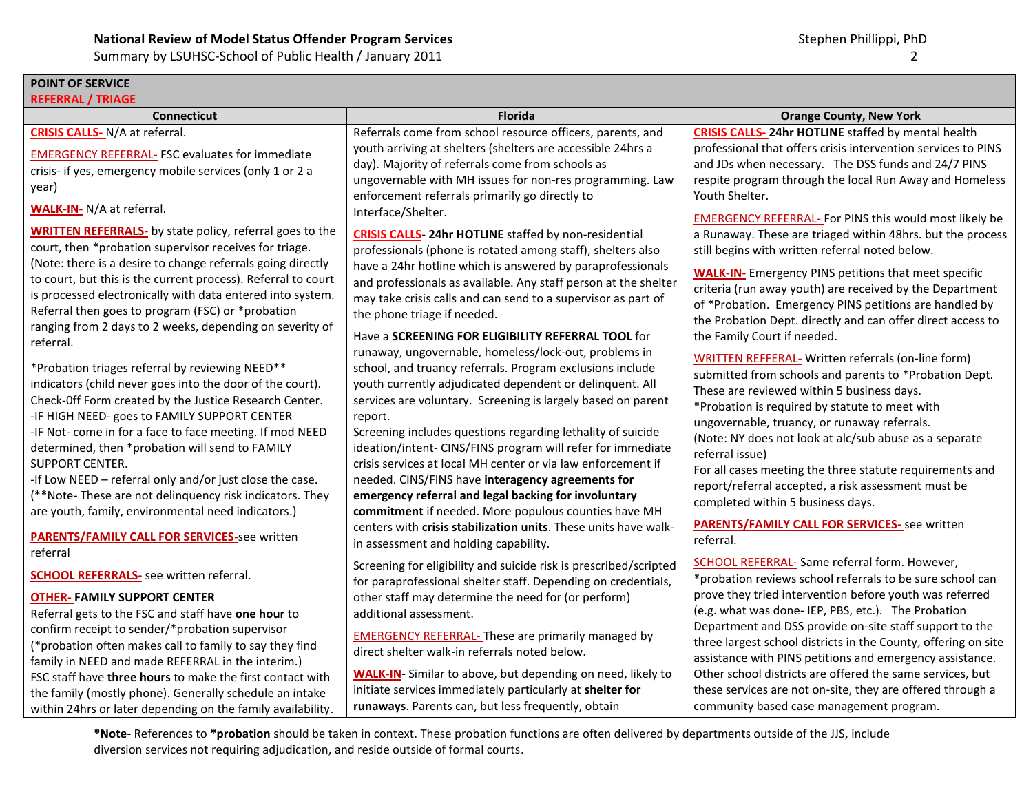# **POINT OF SERVICE**

| <b>REFERRAL / TRIAGE</b>                                                                                                                                                                                                                                                                                                                                                                                                                                                                                                                                                                                                                                                                                                                                                                                                                                                                                                                                                                                                                                                                                                                                                                                   |                                                                                                                                                                                                                                                                                                                                                                                                                                                                                                                                                                                                                                                                                                                                                                                                                                                                                                                                                                                                                                                                                                                                                                                                                                                                                                                                                                                                                                           |                                                                                                                                                                                                                                                                                                                                                                                                                                                                                                                                                                                                                                                                                                                                                                                                                                                                                                                                                                                                                                                                                                                                                                                                                                                                                                 |  |
|------------------------------------------------------------------------------------------------------------------------------------------------------------------------------------------------------------------------------------------------------------------------------------------------------------------------------------------------------------------------------------------------------------------------------------------------------------------------------------------------------------------------------------------------------------------------------------------------------------------------------------------------------------------------------------------------------------------------------------------------------------------------------------------------------------------------------------------------------------------------------------------------------------------------------------------------------------------------------------------------------------------------------------------------------------------------------------------------------------------------------------------------------------------------------------------------------------|-------------------------------------------------------------------------------------------------------------------------------------------------------------------------------------------------------------------------------------------------------------------------------------------------------------------------------------------------------------------------------------------------------------------------------------------------------------------------------------------------------------------------------------------------------------------------------------------------------------------------------------------------------------------------------------------------------------------------------------------------------------------------------------------------------------------------------------------------------------------------------------------------------------------------------------------------------------------------------------------------------------------------------------------------------------------------------------------------------------------------------------------------------------------------------------------------------------------------------------------------------------------------------------------------------------------------------------------------------------------------------------------------------------------------------------------|-------------------------------------------------------------------------------------------------------------------------------------------------------------------------------------------------------------------------------------------------------------------------------------------------------------------------------------------------------------------------------------------------------------------------------------------------------------------------------------------------------------------------------------------------------------------------------------------------------------------------------------------------------------------------------------------------------------------------------------------------------------------------------------------------------------------------------------------------------------------------------------------------------------------------------------------------------------------------------------------------------------------------------------------------------------------------------------------------------------------------------------------------------------------------------------------------------------------------------------------------------------------------------------------------|--|
| <b>Connecticut</b>                                                                                                                                                                                                                                                                                                                                                                                                                                                                                                                                                                                                                                                                                                                                                                                                                                                                                                                                                                                                                                                                                                                                                                                         | <b>Florida</b>                                                                                                                                                                                                                                                                                                                                                                                                                                                                                                                                                                                                                                                                                                                                                                                                                                                                                                                                                                                                                                                                                                                                                                                                                                                                                                                                                                                                                            | <b>Orange County, New York</b>                                                                                                                                                                                                                                                                                                                                                                                                                                                                                                                                                                                                                                                                                                                                                                                                                                                                                                                                                                                                                                                                                                                                                                                                                                                                  |  |
| <b>CRISIS CALLS-</b> N/A at referral.<br><b>EMERGENCY REFERRAL- FSC evaluates for immediate</b><br>crisis- if yes, emergency mobile services (only 1 or 2 a<br>year)<br><b>WALK-IN- N/A at referral.</b><br><b>WRITTEN REFERRALS-</b> by state policy, referral goes to the<br>court, then *probation supervisor receives for triage.<br>(Note: there is a desire to change referrals going directly<br>to court, but this is the current process). Referral to court<br>is processed electronically with data entered into system.<br>Referral then goes to program (FSC) or *probation<br>ranging from 2 days to 2 weeks, depending on severity of<br>referral.<br>*Probation triages referral by reviewing NEED**<br>indicators (child never goes into the door of the court).<br>Check-Off Form created by the Justice Research Center.<br>-IF HIGH NEED- goes to FAMILY SUPPORT CENTER<br>-IF Not- come in for a face to face meeting. If mod NEED<br>determined, then *probation will send to FAMILY<br>SUPPORT CENTER.<br>-If Low NEED - referral only and/or just close the case.<br>(**Note-These are not delinquency risk indicators. They<br>are youth, family, environmental need indicators.) | Referrals come from school resource officers, parents, and<br>youth arriving at shelters (shelters are accessible 24hrs a<br>day). Majority of referrals come from schools as<br>ungovernable with MH issues for non-res programming. Law<br>enforcement referrals primarily go directly to<br>Interface/Shelter.<br><b>CRISIS CALLS-24hr HOTLINE</b> staffed by non-residential<br>professionals (phone is rotated among staff), shelters also<br>have a 24hr hotline which is answered by paraprofessionals<br>and professionals as available. Any staff person at the shelter<br>may take crisis calls and can send to a supervisor as part of<br>the phone triage if needed.<br>Have a SCREENING FOR ELIGIBILITY REFERRAL TOOL for<br>runaway, ungovernable, homeless/lock-out, problems in<br>school, and truancy referrals. Program exclusions include<br>youth currently adjudicated dependent or delinquent. All<br>services are voluntary. Screening is largely based on parent<br>report.<br>Screening includes questions regarding lethality of suicide<br>ideation/intent- CINS/FINS program will refer for immediate<br>crisis services at local MH center or via law enforcement if<br>needed. CINS/FINS have interagency agreements for<br>emergency referral and legal backing for involuntary<br>commitment if needed. More populous counties have MH<br>centers with crisis stabilization units. These units have walk- | <b>CRISIS CALLS-24hr HOTLINE</b> staffed by mental health<br>professional that offers crisis intervention services to PINS<br>and JDs when necessary. The DSS funds and 24/7 PINS<br>respite program through the local Run Away and Homeless<br>Youth Shelter.<br><b>EMERGENCY REFERRAL-For PINS this would most likely be</b><br>a Runaway. These are triaged within 48hrs. but the process<br>still begins with written referral noted below.<br><b>WALK-IN-</b> Emergency PINS petitions that meet specific<br>criteria (run away youth) are received by the Department<br>of *Probation. Emergency PINS petitions are handled by<br>the Probation Dept. directly and can offer direct access to<br>the Family Court if needed.<br>WRITTEN REFFERAL- Written referrals (on-line form)<br>submitted from schools and parents to *Probation Dept.<br>These are reviewed within 5 business days.<br>*Probation is required by statute to meet with<br>ungovernable, truancy, or runaway referrals.<br>(Note: NY does not look at alc/sub abuse as a separate<br>referral issue)<br>For all cases meeting the three statute requirements and<br>report/referral accepted, a risk assessment must be<br>completed within 5 business days.<br><b>PARENTS/FAMILY CALL FOR SERVICES-</b> see written |  |
| <b>PARENTS/FAMILY CALL FOR SERVICES-see written</b><br>referral<br><b>SCHOOL REFERRALS-</b> see written referral.<br><b>OTHER-FAMILY SUPPORT CENTER</b><br>Referral gets to the FSC and staff have one hour to<br>confirm receipt to sender/*probation supervisor<br>(*probation often makes call to family to say they find<br>family in NEED and made REFERRAL in the interim.)<br>FSC staff have three hours to make the first contact with<br>the family (mostly phone). Generally schedule an intake<br>within 24hrs or later depending on the family availability                                                                                                                                                                                                                                                                                                                                                                                                                                                                                                                                                                                                                                    | in assessment and holding capability.<br>Screening for eligibility and suicide risk is prescribed/scripted<br>for paraprofessional shelter staff. Depending on credentials,<br>other staff may determine the need for (or perform)<br>additional assessment.<br><b>EMERGENCY REFERRAL- These are primarily managed by</b><br>direct shelter walk-in referrals noted below.<br><b>WALK-IN-</b> Similar to above, but depending on need, likely to<br>initiate services immediately particularly at shelter for<br>runaways. Parents can, but less frequently, obtain                                                                                                                                                                                                                                                                                                                                                                                                                                                                                                                                                                                                                                                                                                                                                                                                                                                                       | referral.<br>SCHOOL REFERRAL- Same referral form. However,<br>*probation reviews school referrals to be sure school can<br>prove they tried intervention before youth was referred<br>(e.g. what was done- IEP, PBS, etc.). The Probation<br>Department and DSS provide on-site staff support to the<br>three largest school districts in the County, offering on site<br>assistance with PINS petitions and emergency assistance.<br>Other school districts are offered the same services, but<br>these services are not on-site, they are offered through a<br>community based case management program.                                                                                                                                                                                                                                                                                                                                                                                                                                                                                                                                                                                                                                                                                       |  |
| *Note-References to *probation should be taken in context. These probation functions are often delivered by departments outside of the JJS, include                                                                                                                                                                                                                                                                                                                                                                                                                                                                                                                                                                                                                                                                                                                                                                                                                                                                                                                                                                                                                                                        |                                                                                                                                                                                                                                                                                                                                                                                                                                                                                                                                                                                                                                                                                                                                                                                                                                                                                                                                                                                                                                                                                                                                                                                                                                                                                                                                                                                                                                           |                                                                                                                                                                                                                                                                                                                                                                                                                                                                                                                                                                                                                                                                                                                                                                                                                                                                                                                                                                                                                                                                                                                                                                                                                                                                                                 |  |

diversion services not requiring adjudication, and reside outside of formal courts.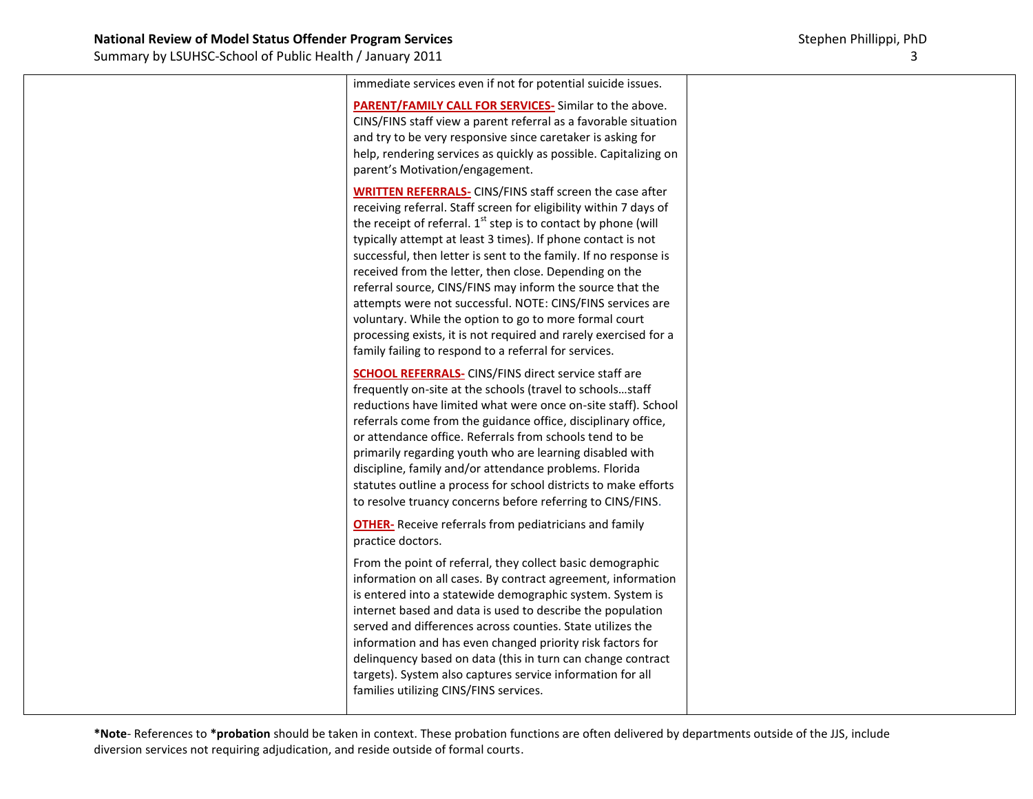| immediate services even if not for potential suicide issues.<br><b>PARENT/FAMILY CALL FOR SERVICES-</b> Similar to the above.<br>CINS/FINS staff view a parent referral as a favorable situation<br>and try to be very responsive since caretaker is asking for<br>help, rendering services as quickly as possible. Capitalizing on<br>parent's Motivation/engagement.                                                                                                                                                                                                                                                                                                                                                            |  |
|-----------------------------------------------------------------------------------------------------------------------------------------------------------------------------------------------------------------------------------------------------------------------------------------------------------------------------------------------------------------------------------------------------------------------------------------------------------------------------------------------------------------------------------------------------------------------------------------------------------------------------------------------------------------------------------------------------------------------------------|--|
| <b>WRITTEN REFERRALS-CINS/FINS staff screen the case after</b><br>receiving referral. Staff screen for eligibility within 7 days of<br>the receipt of referral. 1 <sup>st</sup> step is to contact by phone (will<br>typically attempt at least 3 times). If phone contact is not<br>successful, then letter is sent to the family. If no response is<br>received from the letter, then close. Depending on the<br>referral source, CINS/FINS may inform the source that the<br>attempts were not successful. NOTE: CINS/FINS services are<br>voluntary. While the option to go to more formal court<br>processing exists, it is not required and rarely exercised for a<br>family failing to respond to a referral for services. |  |
| <b>SCHOOL REFERRALS-</b> CINS/FINS direct service staff are<br>frequently on-site at the schools (travel to schoolsstaff<br>reductions have limited what were once on-site staff). School<br>referrals come from the guidance office, disciplinary office,<br>or attendance office. Referrals from schools tend to be<br>primarily regarding youth who are learning disabled with<br>discipline, family and/or attendance problems. Florida<br>statutes outline a process for school districts to make efforts<br>to resolve truancy concerns before referring to CINS/FINS.                                                                                                                                                      |  |
| <b>OTHER-</b> Receive referrals from pediatricians and family<br>practice doctors.<br>From the point of referral, they collect basic demographic<br>information on all cases. By contract agreement, information<br>is entered into a statewide demographic system. System is<br>internet based and data is used to describe the population<br>served and differences across counties. State utilizes the<br>information and has even changed priority risk factors for<br>delinquency based on data (this in turn can change contract<br>targets). System also captures service information for all<br>families utilizing CINS/FINS services.                                                                                    |  |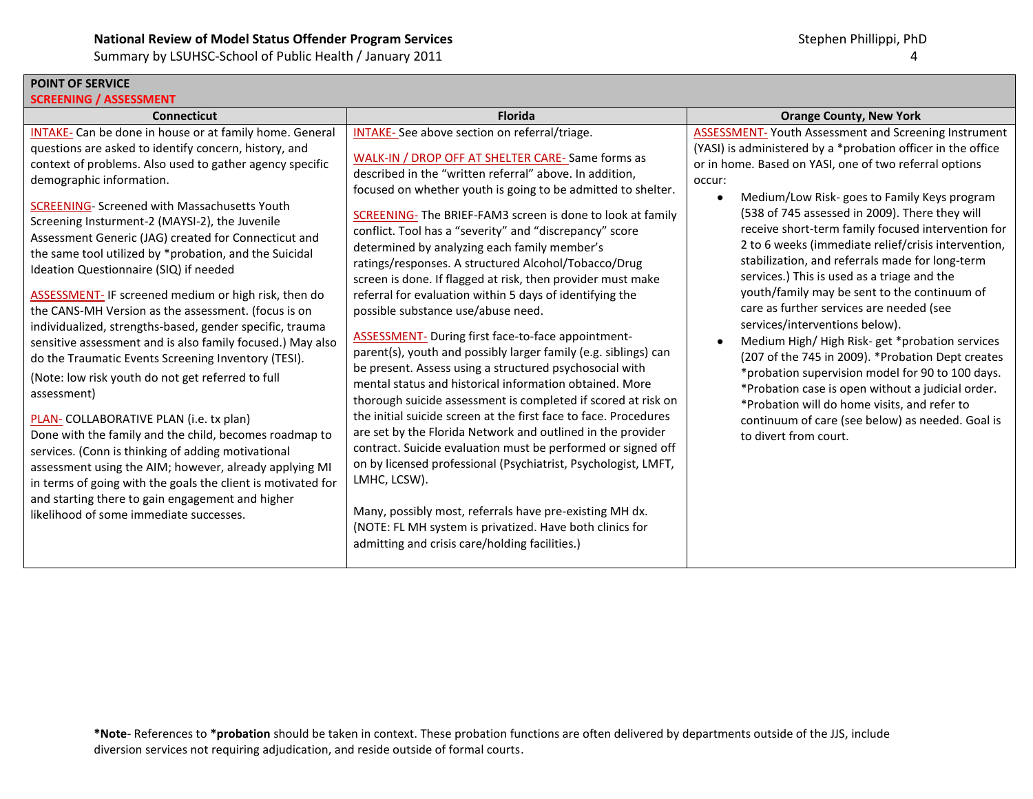### **POINT OF SERVICE SCREENING / ASSESSMENT**

| $\sim$ ineeiviivu $\gamma$ roofooivieivi<br><b>Connecticut</b>                                                                                                                                                                                                                                                                                                                                                                                                                                                                                                                                                                                                                                                                                                                                                                                                                                                                                                                                                                                                                                                                                                                                                                                     | <b>Florida</b>                                                                                                                                                                                                                                                                                                                                                                                                                                                                                                                                                                                                                                                                                                                                                                                                                                                                                                                                                                                                                                                                                                                                                                                                                                                                                                                                                                                              | <b>Orange County, New York</b>                                                                                                                                                                                                                                                                                                                                                                                                                                                                                                                                                                                                                                                                                                                                                                                                                                                                                                                                                             |
|----------------------------------------------------------------------------------------------------------------------------------------------------------------------------------------------------------------------------------------------------------------------------------------------------------------------------------------------------------------------------------------------------------------------------------------------------------------------------------------------------------------------------------------------------------------------------------------------------------------------------------------------------------------------------------------------------------------------------------------------------------------------------------------------------------------------------------------------------------------------------------------------------------------------------------------------------------------------------------------------------------------------------------------------------------------------------------------------------------------------------------------------------------------------------------------------------------------------------------------------------|-------------------------------------------------------------------------------------------------------------------------------------------------------------------------------------------------------------------------------------------------------------------------------------------------------------------------------------------------------------------------------------------------------------------------------------------------------------------------------------------------------------------------------------------------------------------------------------------------------------------------------------------------------------------------------------------------------------------------------------------------------------------------------------------------------------------------------------------------------------------------------------------------------------------------------------------------------------------------------------------------------------------------------------------------------------------------------------------------------------------------------------------------------------------------------------------------------------------------------------------------------------------------------------------------------------------------------------------------------------------------------------------------------------|--------------------------------------------------------------------------------------------------------------------------------------------------------------------------------------------------------------------------------------------------------------------------------------------------------------------------------------------------------------------------------------------------------------------------------------------------------------------------------------------------------------------------------------------------------------------------------------------------------------------------------------------------------------------------------------------------------------------------------------------------------------------------------------------------------------------------------------------------------------------------------------------------------------------------------------------------------------------------------------------|
| <b>INTAKE-</b> Can be done in house or at family home. General<br>questions are asked to identify concern, history, and<br>context of problems. Also used to gather agency specific<br>demographic information.<br><b>SCREENING- Screened with Massachusetts Youth</b><br>Screening Insturment-2 (MAYSI-2), the Juvenile<br>Assessment Generic (JAG) created for Connecticut and<br>the same tool utilized by *probation, and the Suicidal<br>Ideation Questionnaire (SIQ) if needed<br><b>ASSESSMENT-IF screened medium or high risk, then do</b><br>the CANS-MH Version as the assessment. (focus is on<br>individualized, strengths-based, gender specific, trauma<br>sensitive assessment and is also family focused.) May also<br>do the Traumatic Events Screening Inventory (TESI).<br>(Note: low risk youth do not get referred to full<br>assessment)<br>PLAN- COLLABORATIVE PLAN (i.e. tx plan)<br>Done with the family and the child, becomes roadmap to<br>services. (Conn is thinking of adding motivational<br>assessment using the AIM; however, already applying MI<br>in terms of going with the goals the client is motivated for<br>and starting there to gain engagement and higher<br>likelihood of some immediate successes. | INTAKE-See above section on referral/triage.<br>WALK-IN / DROP OFF AT SHELTER CARE-Same forms as<br>described in the "written referral" above. In addition,<br>focused on whether youth is going to be admitted to shelter.<br>SCREENING- The BRIEF-FAM3 screen is done to look at family<br>conflict. Tool has a "severity" and "discrepancy" score<br>determined by analyzing each family member's<br>ratings/responses. A structured Alcohol/Tobacco/Drug<br>screen is done. If flagged at risk, then provider must make<br>referral for evaluation within 5 days of identifying the<br>possible substance use/abuse need.<br>ASSESSMENT- During first face-to-face appointment-<br>parent(s), youth and possibly larger family (e.g. siblings) can<br>be present. Assess using a structured psychosocial with<br>mental status and historical information obtained. More<br>thorough suicide assessment is completed if scored at risk on<br>the initial suicide screen at the first face to face. Procedures<br>are set by the Florida Network and outlined in the provider<br>contract. Suicide evaluation must be performed or signed off<br>on by licensed professional (Psychiatrist, Psychologist, LMFT,<br>LMHC, LCSW).<br>Many, possibly most, referrals have pre-existing MH dx.<br>(NOTE: FL MH system is privatized. Have both clinics for<br>admitting and crisis care/holding facilities.) | <b>ASSESSMENT-Youth Assessment and Screening Instrument</b><br>(YASI) is administered by a *probation officer in the office<br>or in home. Based on YASI, one of two referral options<br>occur:<br>Medium/Low Risk-goes to Family Keys program<br>(538 of 745 assessed in 2009). There they will<br>receive short-term family focused intervention for<br>2 to 6 weeks (immediate relief/crisis intervention,<br>stabilization, and referrals made for long-term<br>services.) This is used as a triage and the<br>youth/family may be sent to the continuum of<br>care as further services are needed (see<br>services/interventions below).<br>Medium High/High Risk-get *probation services<br>(207 of the 745 in 2009). * Probation Dept creates<br>*probation supervision model for 90 to 100 days.<br>*Probation case is open without a judicial order.<br>*Probation will do home visits, and refer to<br>continuum of care (see below) as needed. Goal is<br>to divert from court. |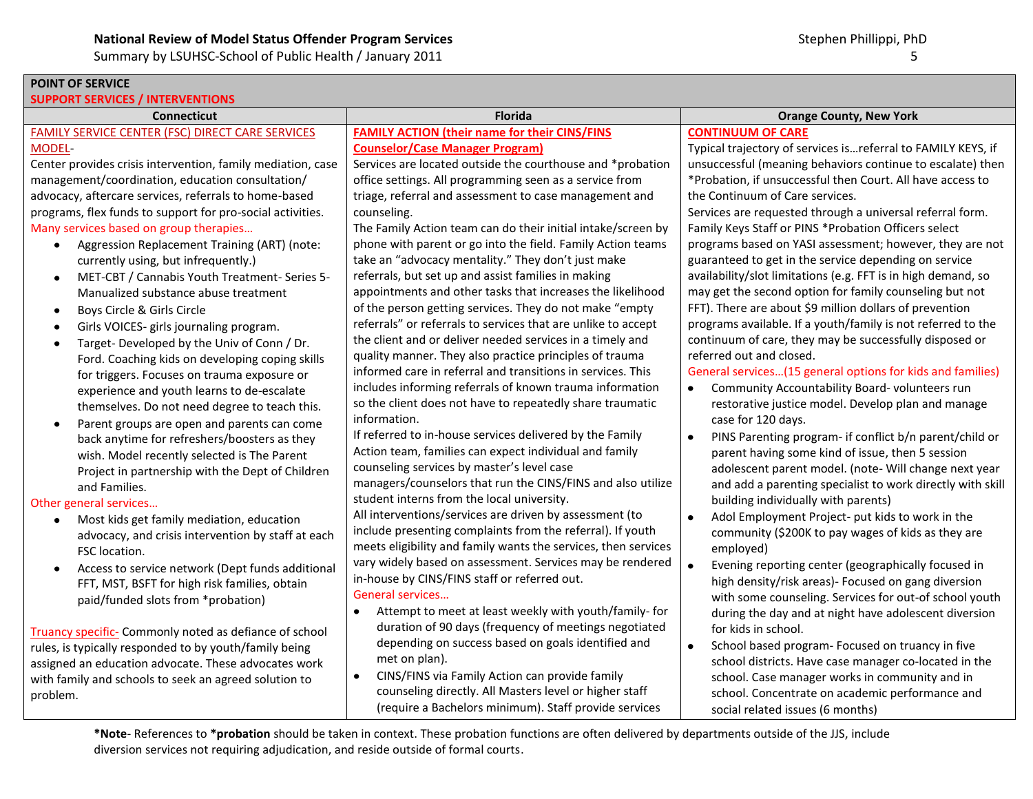Summary by LSUHSC-School of Public Health / January 2011 65 and the state of the state of the state of the state of the state of the state of the state of the state of the state of the state of the state of the state of th

| POINT OF SERVICE                                            |                                                                |                                                                      |  |
|-------------------------------------------------------------|----------------------------------------------------------------|----------------------------------------------------------------------|--|
| <b>SUPPORT SERVICES / INTERVENTIONS</b>                     |                                                                |                                                                      |  |
| <b>Connecticut</b>                                          | Florida                                                        | <b>Orange County, New York</b>                                       |  |
| <b>FAMILY SERVICE CENTER (FSC) DIRECT CARE SERVICES</b>     | <b>FAMILY ACTION (their name for their CINS/FINS</b>           | <b>CONTINUUM OF CARE</b>                                             |  |
| MODEL-                                                      | <b>Counselor/Case Manager Program)</b>                         | Typical trajectory of services isreferral to FAMILY KEYS, if         |  |
| Center provides crisis intervention, family mediation, case | Services are located outside the courthouse and *probation     | unsuccessful (meaning behaviors continue to escalate) then           |  |
| management/coordination, education consultation/            | office settings. All programming seen as a service from        | *Probation, if unsuccessful then Court. All have access to           |  |
| advocacy, aftercare services, referrals to home-based       | triage, referral and assessment to case management and         | the Continuum of Care services.                                      |  |
| programs, flex funds to support for pro-social activities.  | counseling.                                                    | Services are requested through a universal referral form.            |  |
| Many services based on group therapies                      | The Family Action team can do their initial intake/screen by   | Family Keys Staff or PINS *Probation Officers select                 |  |
| Aggression Replacement Training (ART) (note:<br>$\bullet$   | phone with parent or go into the field. Family Action teams    | programs based on YASI assessment; however, they are not             |  |
| currently using, but infrequently.)                         | take an "advocacy mentality." They don't just make             | guaranteed to get in the service depending on service                |  |
| MET-CBT / Cannabis Youth Treatment- Series 5-<br>$\bullet$  | referrals, but set up and assist families in making            | availability/slot limitations (e.g. FFT is in high demand, so        |  |
| Manualized substance abuse treatment                        | appointments and other tasks that increases the likelihood     | may get the second option for family counseling but not              |  |
| Boys Circle & Girls Circle<br>$\bullet$                     | of the person getting services. They do not make "empty        | FFT). There are about \$9 million dollars of prevention              |  |
| Girls VOICES- girls journaling program.<br>$\bullet$        | referrals" or referrals to services that are unlike to accept  | programs available. If a youth/family is not referred to the         |  |
| Target-Developed by the Univ of Conn / Dr.<br>$\bullet$     | the client and or deliver needed services in a timely and      | continuum of care, they may be successfully disposed or              |  |
| Ford. Coaching kids on developing coping skills             | quality manner. They also practice principles of trauma        | referred out and closed.                                             |  |
| for triggers. Focuses on trauma exposure or                 | informed care in referral and transitions in services. This    | General services(15 general options for kids and families)           |  |
| experience and youth learns to de-escalate                  | includes informing referrals of known trauma information       | Community Accountability Board-volunteers run<br>$\bullet$           |  |
| themselves. Do not need degree to teach this.               | so the client does not have to repeatedly share traumatic      | restorative justice model. Develop plan and manage                   |  |
| Parent groups are open and parents can come                 | information.                                                   | case for 120 days.                                                   |  |
| back anytime for refreshers/boosters as they                | If referred to in-house services delivered by the Family       | PINS Parenting program- if conflict b/n parent/child or<br>$\bullet$ |  |
| wish. Model recently selected is The Parent                 | Action team, families can expect individual and family         | parent having some kind of issue, then 5 session                     |  |
| Project in partnership with the Dept of Children            | counseling services by master's level case                     | adolescent parent model. (note- Will change next year                |  |
| and Families.                                               | managers/counselors that run the CINS/FINS and also utilize    | and add a parenting specialist to work directly with skill           |  |
| Other general services                                      | student interns from the local university.                     | building individually with parents)                                  |  |
| Most kids get family mediation, education<br>$\bullet$      | All interventions/services are driven by assessment (to        | Adol Employment Project- put kids to work in the<br>$\bullet$        |  |
| advocacy, and crisis intervention by staff at each          | include presenting complaints from the referral). If youth     | community (\$200K to pay wages of kids as they are                   |  |
| FSC location.                                               | meets eligibility and family wants the services, then services | employed)                                                            |  |
| Access to service network (Dept funds additional            | vary widely based on assessment. Services may be rendered      | Evening reporting center (geographically focused in                  |  |
| FFT, MST, BSFT for high risk families, obtain               | in-house by CINS/FINS staff or referred out.                   | high density/risk areas)- Focused on gang diversion                  |  |
| paid/funded slots from *probation)                          | General services                                               | with some counseling. Services for out-of school youth               |  |
|                                                             | Attempt to meet at least weekly with youth/family- for         | during the day and at night have adolescent diversion                |  |
| Truancy specific- Commonly noted as defiance of school      | duration of 90 days (frequency of meetings negotiated          | for kids in school.                                                  |  |
| rules, is typically responded to by youth/family being      | depending on success based on goals identified and             | School based program- Focused on truancy in five                     |  |
| assigned an education advocate. These advocates work        | met on plan).                                                  | school districts. Have case manager co-located in the                |  |
| with family and schools to seek an agreed solution to       | CINS/FINS via Family Action can provide family<br>$\bullet$    | school. Case manager works in community and in                       |  |
| problem.                                                    | counseling directly. All Masters level or higher staff         | school. Concentrate on academic performance and                      |  |
|                                                             | (require a Bachelors minimum). Staff provide services          | social related issues (6 months)                                     |  |
| *****************************                               |                                                                |                                                                      |  |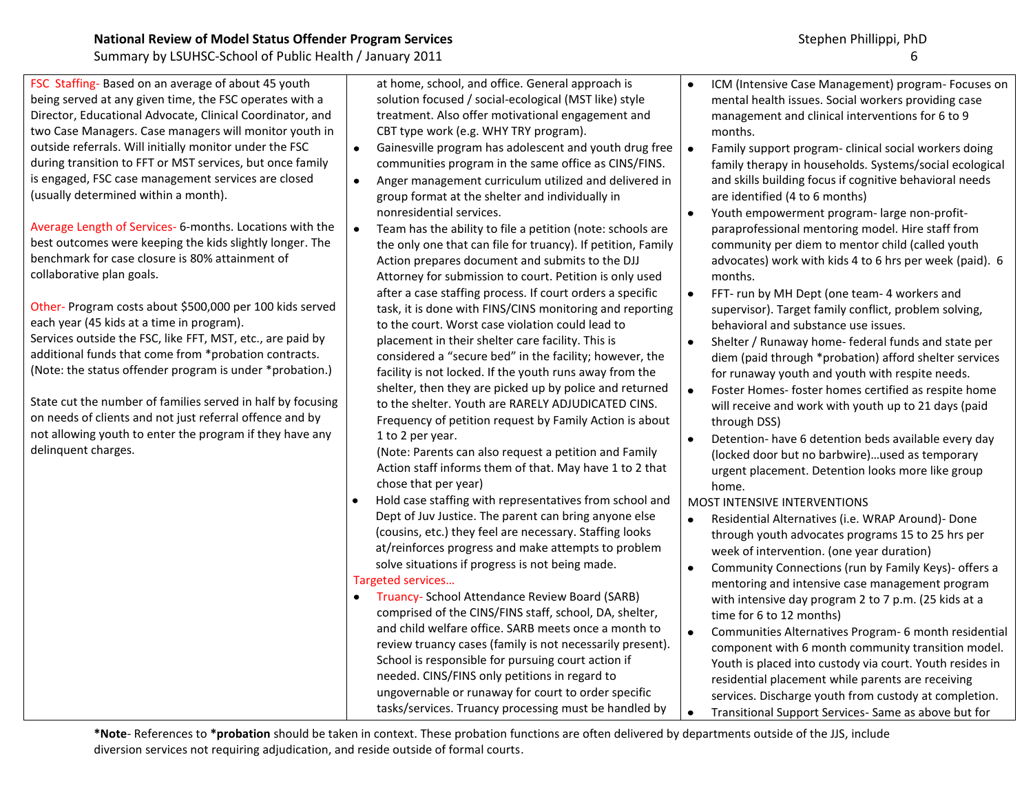| <b>National Review of Model Status Offender Program Services</b> |  |  |  |  |  |
|------------------------------------------------------------------|--|--|--|--|--|
|------------------------------------------------------------------|--|--|--|--|--|

FSC Staffing- Based on an average of about 45 youth being served at any given time, the FSC operates with a Director, Educational Advocate, Clinical Coordinator, and two Case Managers. Case managers will monitor youth in outside referrals. Will initially monitor under the FSC during transition to FFT or MST services, but once family is engaged, FSC case management services are closed (usually determined within a month).

Average Length of Services- 6-months. Locations with the best outcomes were keeping the kids slightly longer. The benchmark for case closure is 80% attainment of collaborative plan goals.

Other- Program costs about \$500,000 per 100 kids served each year (45 kids at a time in program). Services outside the FSC, like FFT, MST, etc., are paid by additional funds that come from \*probation contracts. (Note: the status offender program is under \*probation.)

State cut the number of families served in half by focusing on needs of clients and not just referral offence and by not allowing youth to enter the program if they have any delinquent charges.

at home, school, and office. General approach is solution focused / social-ecological (MST like) style treatment. Also offer motivational engagement and CBT type work (e.g. WHY TRY program).

- $\bullet$ Gainesville program has adolescent and youth drug free communities program in the same office as CINS/FINS.
- $\bullet$ Anger management curriculum utilized and delivered in group format at the shelter and individually in nonresidential services.
- Team has the ability to file a petition (note: schools are  $\bullet$ the only one that can file for truancy). If petition, Family Action prepares document and submits to the DJJ Attorney for submission to court. Petition is only used after a case staffing process. If court orders a specific task, it is done with FINS/CINS monitoring and reporting to the court. Worst case violation could lead to placement in their shelter care facility. This is considered a "secure bed" in the facility; however, the facility is not locked. If the youth runs away from the shelter, then they are picked up by police and returned to the shelter. Youth are RARELY ADJUDICATED CINS. Frequency of petition request by Family Action is about 1 to 2 per year.

(Note: Parents can also request a petition and Family Action staff informs them of that. May have 1 to 2 that chose that per year)

- Hold case staffing with representatives from school and Dept of Juv Justice. The parent can bring anyone else (cousins, etc.) they feel are necessary. Staffing looks at/reinforces progress and make attempts to problem solve situations if progress is not being made. Targeted services…
- **Truancy- School Attendance Review Board (SARB)** comprised of the CINS/FINS staff, school, DA, shelter, and child welfare office. SARB meets once a month to review truancy cases (family is not necessarily present). School is responsible for pursuing court action if needed. CINS/FINS only petitions in regard to ungovernable or runaway for court to order specific tasks/services. Truancy processing must be handled by
- ICM (Intensive Case Management) program- Focuses on mental health issues. Social workers providing case management and clinical interventions for 6 to 9 months.
- $\bullet$ Family support program- clinical social workers doing family therapy in households. Systems/social ecological and skills building focus if cognitive behavioral needs are identified (4 to 6 months)
- $\bullet$ Youth empowerment program- large non-profitparaprofessional mentoring model. Hire staff from community per diem to mentor child (called youth advocates) work with kids 4 to 6 hrs per week (paid). 6 months.
- $\bullet$ FFT- run by MH Dept (one team- 4 workers and supervisor). Target family conflict, problem solving, behavioral and substance use issues.
- $\bullet$ Shelter / Runaway home- federal funds and state per diem (paid through \*probation) afford shelter services for runaway youth and youth with respite needs.
- Foster Homes- foster homes certified as respite home  $\bullet$ will receive and work with youth up to 21 days (paid through DSS)
- Detention- have 6 detention beds available every day  $\bullet$ (locked door but no barbwire)…used as temporary urgent placement. Detention looks more like group home.

MOST INTENSIVE INTERVENTIONS

 $\bullet$ 

- Residential Alternatives (i.e. WRAP Around)- Done  $\bullet$ through youth advocates programs 15 to 25 hrs per week of intervention. (one year duration)
- $\bullet$ Community Connections (run by Family Keys)- offers a mentoring and intensive case management program with intensive day program 2 to 7 p.m. (25 kids at a time for 6 to 12 months)
- Communities Alternatives Program- 6 month residential  $\bullet$ component with 6 month community transition model. Youth is placed into custody via court. Youth resides in residential placement while parents are receiving services. Discharge youth from custody at completion. Transitional Support Services- Same as above but for  $\bullet$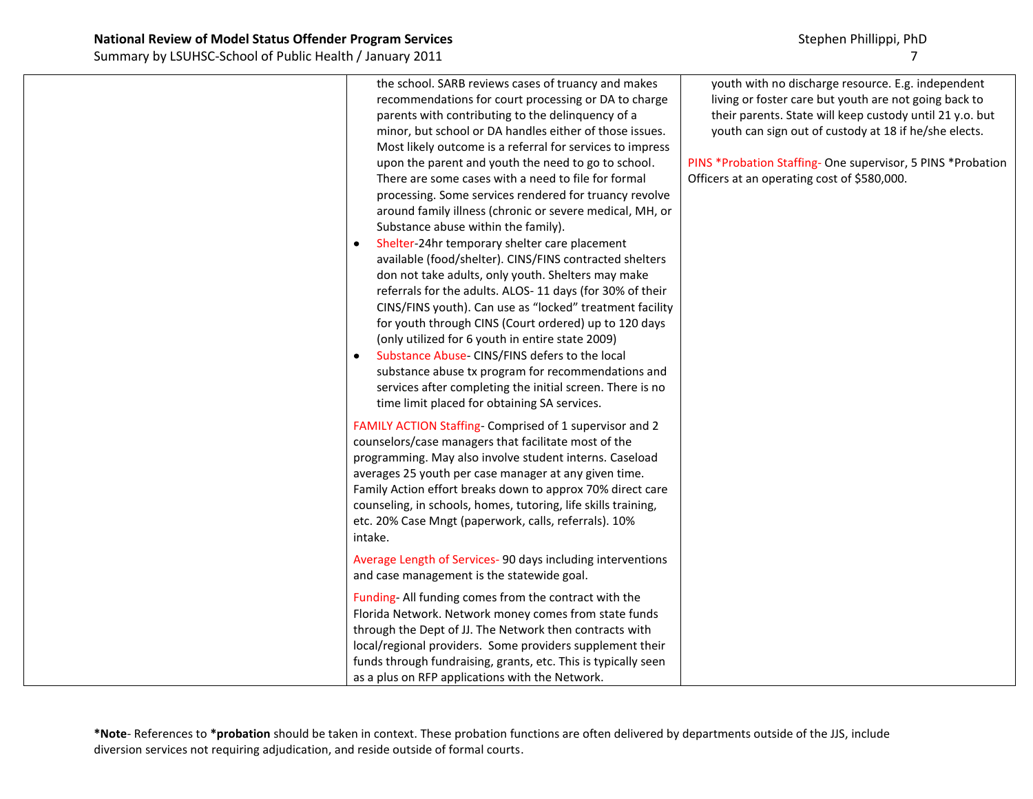| the school. SARB reviews cases of truancy and makes<br>recommendations for court processing or DA to charge<br>parents with contributing to the delinquency of a<br>minor, but school or DA handles either of those issues.<br>Most likely outcome is a referral for services to impress<br>upon the parent and youth the need to go to school.<br>There are some cases with a need to file for formal<br>processing. Some services rendered for truancy revolve<br>around family illness (chronic or severe medical, MH, or<br>Substance abuse within the family).<br>Shelter-24hr temporary shelter care placement<br>$\bullet$<br>available (food/shelter). CINS/FINS contracted shelters<br>don not take adults, only youth. Shelters may make<br>referrals for the adults. ALOS-11 days (for 30% of their<br>CINS/FINS youth). Can use as "locked" treatment facility<br>for youth through CINS (Court ordered) up to 120 days<br>(only utilized for 6 youth in entire state 2009)<br>Substance Abuse- CINS/FINS defers to the local<br>$\bullet$<br>substance abuse tx program for recommendations and<br>services after completing the initial screen. There is no<br>time limit placed for obtaining SA services. | youth with no discharge resource. E.g. independent<br>living or foster care but youth are not going back to<br>their parents. State will keep custody until 21 y.o. but<br>youth can sign out of custody at 18 if he/she elects.<br>PINS *Probation Staffing- One supervisor, 5 PINS *Probation<br>Officers at an operating cost of \$580,000. |
|---------------------------------------------------------------------------------------------------------------------------------------------------------------------------------------------------------------------------------------------------------------------------------------------------------------------------------------------------------------------------------------------------------------------------------------------------------------------------------------------------------------------------------------------------------------------------------------------------------------------------------------------------------------------------------------------------------------------------------------------------------------------------------------------------------------------------------------------------------------------------------------------------------------------------------------------------------------------------------------------------------------------------------------------------------------------------------------------------------------------------------------------------------------------------------------------------------------------------|------------------------------------------------------------------------------------------------------------------------------------------------------------------------------------------------------------------------------------------------------------------------------------------------------------------------------------------------|
| FAMILY ACTION Staffing- Comprised of 1 supervisor and 2<br>counselors/case managers that facilitate most of the<br>programming. May also involve student interns. Caseload<br>averages 25 youth per case manager at any given time.<br>Family Action effort breaks down to approx 70% direct care<br>counseling, in schools, homes, tutoring, life skills training,<br>etc. 20% Case Mngt (paperwork, calls, referrals). 10%<br>intake.                                                                                                                                                                                                                                                                                                                                                                                                                                                                                                                                                                                                                                                                                                                                                                                   |                                                                                                                                                                                                                                                                                                                                                |
| Average Length of Services- 90 days including interventions<br>and case management is the statewide goal.                                                                                                                                                                                                                                                                                                                                                                                                                                                                                                                                                                                                                                                                                                                                                                                                                                                                                                                                                                                                                                                                                                                 |                                                                                                                                                                                                                                                                                                                                                |
| Funding-All funding comes from the contract with the<br>Florida Network. Network money comes from state funds<br>through the Dept of JJ. The Network then contracts with<br>local/regional providers. Some providers supplement their<br>funds through fundraising, grants, etc. This is typically seen<br>as a plus on RFP applications with the Network.                                                                                                                                                                                                                                                                                                                                                                                                                                                                                                                                                                                                                                                                                                                                                                                                                                                                |                                                                                                                                                                                                                                                                                                                                                |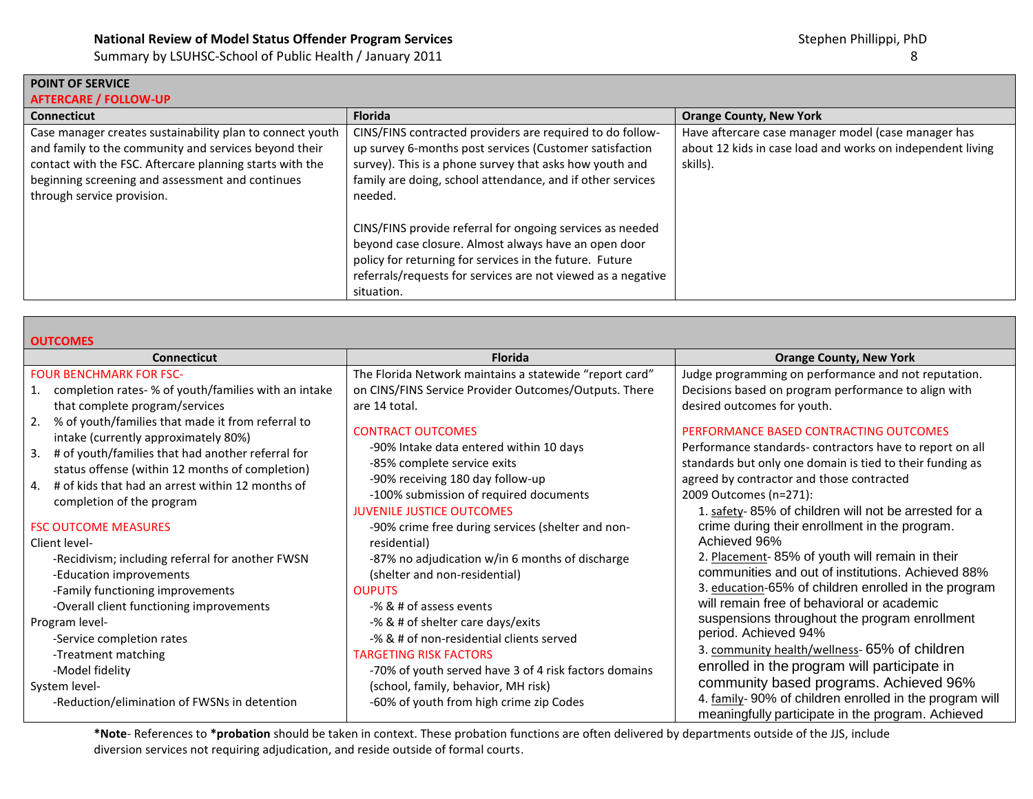| Summary by LSUHSC-School of Public Health / January 2011 |  |  |
|----------------------------------------------------------|--|--|
|----------------------------------------------------------|--|--|

**POINT OF SERVICE**

| <b>AFTERCARE / FOLLOW-UP</b>                                                                                                                                                                                                                                     |                                                                                                                                                                                                                                                                                                                                                                                                                                                                                                                        |                                                                                                                               |  |  |
|------------------------------------------------------------------------------------------------------------------------------------------------------------------------------------------------------------------------------------------------------------------|------------------------------------------------------------------------------------------------------------------------------------------------------------------------------------------------------------------------------------------------------------------------------------------------------------------------------------------------------------------------------------------------------------------------------------------------------------------------------------------------------------------------|-------------------------------------------------------------------------------------------------------------------------------|--|--|
| <b>Connecticut</b>                                                                                                                                                                                                                                               | <b>Florida</b>                                                                                                                                                                                                                                                                                                                                                                                                                                                                                                         | <b>Orange County, New York</b>                                                                                                |  |  |
| Case manager creates sustainability plan to connect youth<br>and family to the community and services beyond their<br>contact with the FSC. Aftercare planning starts with the<br>beginning screening and assessment and continues<br>through service provision. | CINS/FINS contracted providers are required to do follow-<br>up survey 6-months post services (Customer satisfaction<br>survey). This is a phone survey that asks how youth and<br>family are doing, school attendance, and if other services<br>needed.<br>CINS/FINS provide referral for ongoing services as needed<br>beyond case closure. Almost always have an open door<br>policy for returning for services in the future. Future<br>referrals/requests for services are not viewed as a negative<br>situation. | Have aftercare case manager model (case manager has<br>about 12 kids in case load and works on independent living<br>skills). |  |  |

| <b>OUTCOMES</b>                                                                              |                                                         |                                                                                                             |  |
|----------------------------------------------------------------------------------------------|---------------------------------------------------------|-------------------------------------------------------------------------------------------------------------|--|
| <b>Connecticut</b>                                                                           | <b>Florida</b>                                          | <b>Orange County, New York</b>                                                                              |  |
| <b>FOUR BENCHMARK FOR FSC-</b>                                                               | The Florida Network maintains a statewide "report card" | Judge programming on performance and not reputation.                                                        |  |
| 1. completion rates- % of youth/families with an intake                                      | on CINS/FINS Service Provider Outcomes/Outputs. There   | Decisions based on program performance to align with                                                        |  |
| that complete program/services                                                               | are 14 total.                                           | desired outcomes for youth.                                                                                 |  |
| 2. % of youth/families that made it from referral to<br>intake (currently approximately 80%) | <b>CONTRACT OUTCOMES</b>                                | PERFORMANCE BASED CONTRACTING OUTCOMES                                                                      |  |
| 3. # of youth/families that had another referral for                                         | -90% Intake data entered within 10 days                 | Performance standards-contractors have to report on all                                                     |  |
| status offense (within 12 months of completion)                                              | -85% complete service exits                             | standards but only one domain is tied to their funding as                                                   |  |
| # of kids that had an arrest within 12 months of<br>4.                                       | -90% receiving 180 day follow-up                        | agreed by contractor and those contracted                                                                   |  |
| completion of the program                                                                    | -100% submission of required documents                  | 2009 Outcomes (n=271):                                                                                      |  |
|                                                                                              | <b>JUVENILE JUSTICE OUTCOMES</b>                        | 1. safety-85% of children will not be arrested for a                                                        |  |
| <b>FSC OUTCOME MEASURES</b>                                                                  | -90% crime free during services (shelter and non-       | crime during their enrollment in the program.                                                               |  |
| Client level-                                                                                | residential)                                            | Achieved 96%                                                                                                |  |
| -Recidivism; including referral for another FWSN                                             | -87% no adjudication w/in 6 months of discharge         | 2. Placement-85% of youth will remain in their                                                              |  |
| -Education improvements                                                                      | (shelter and non-residential)                           | communities and out of institutions. Achieved 88%                                                           |  |
| -Family functioning improvements                                                             | <b>OUPUTS</b>                                           | 3. education-65% of children enrolled in the program                                                        |  |
| -Overall client functioning improvements                                                     | -% & # of assess events                                 | will remain free of behavioral or academic                                                                  |  |
| Program level-                                                                               | -% & # of shelter care days/exits                       | suspensions throughout the program enrollment                                                               |  |
| -Service completion rates                                                                    | -% & # of non-residential clients served                | period. Achieved 94%                                                                                        |  |
| -Treatment matching                                                                          | <b>TARGETING RISK FACTORS</b>                           | 3. community health/wellness- 65% of children                                                               |  |
| -Model fidelity                                                                              | -70% of youth served have 3 of 4 risk factors domains   | enrolled in the program will participate in                                                                 |  |
| System level-                                                                                | (school, family, behavior, MH risk)                     | community based programs. Achieved 96%                                                                      |  |
| -Reduction/elimination of FWSNs in detention                                                 | -60% of youth from high crime zip Codes                 | 4. family-90% of children enrolled in the program will<br>meaningfully participate in the program. Achieved |  |